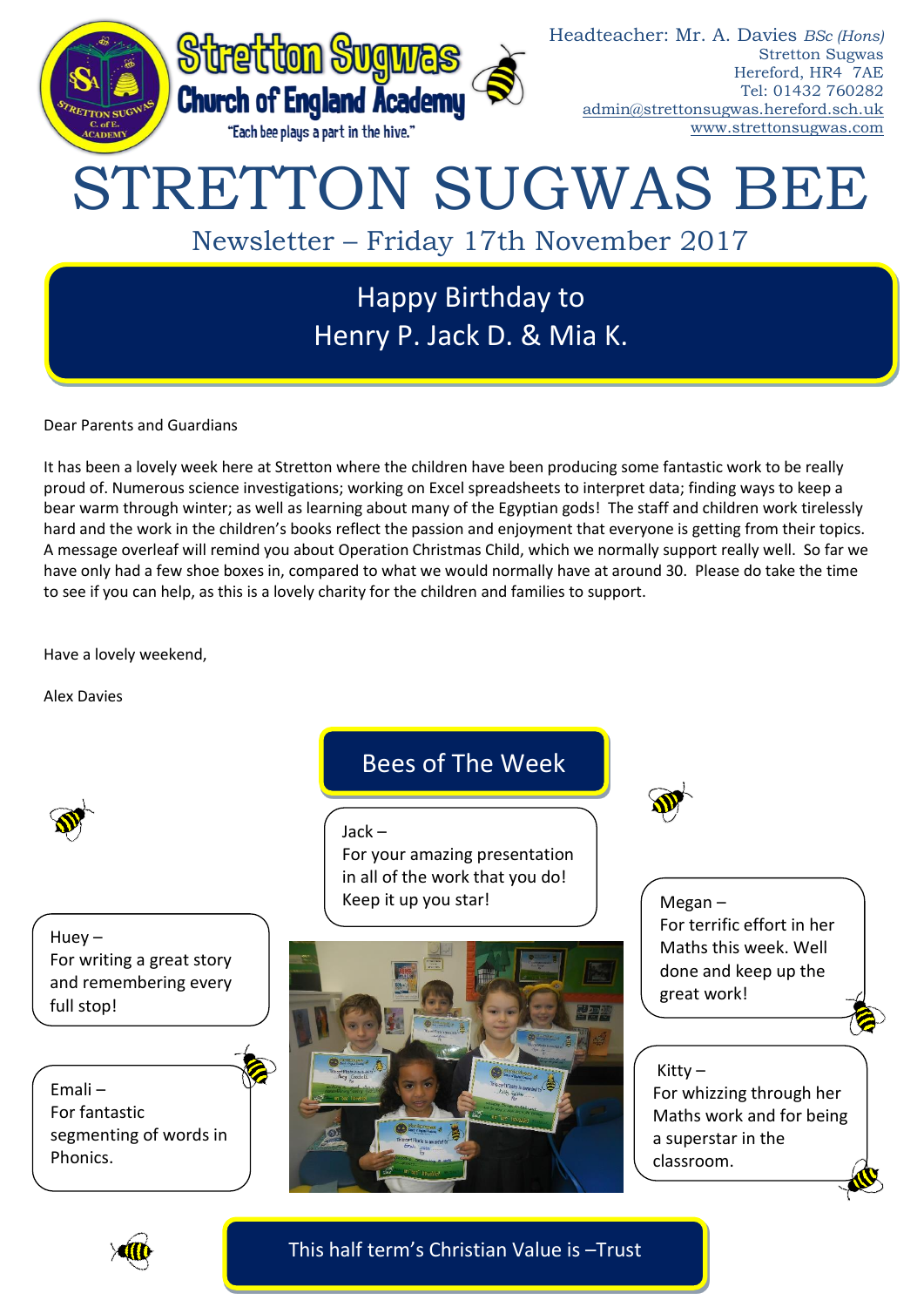

Dear Parents and Guardians

It has been a lovely week here at Stretton where the children have been producing some fantastic work to be really proud of. Numerous science investigations; working on Excel spreadsheets to interpret data; finding ways to keep a bear warm through winter; as well as learning about many of the Egyptian gods! The staff and children work tirelessly hard and the work in the children's books reflect the passion and enjoyment that everyone is getting from their topics. A message overleaf will remind you about Operation Christmas Child, which we normally support really well. So far we have only had a few shoe boxes in, compared to what we would normally have at around 30. Please do take the time to see if you can help, as this is a lovely charity for the children and families to support.

Have a lovely weekend,

Alex Davies



Huey – For writing a great story and remembering every full stop!

Emali – For fantastic segmenting of words in Phonics.

## Bees of The Week

### Jack –

For your amazing presentation in all of the work that you do! Keep it up you star!



Megan – For terrific effort in her Maths this week. Well done and keep up the great work!

## Kitty  $-$

For whizzing through her Maths work and for being a superstar in the classroom.